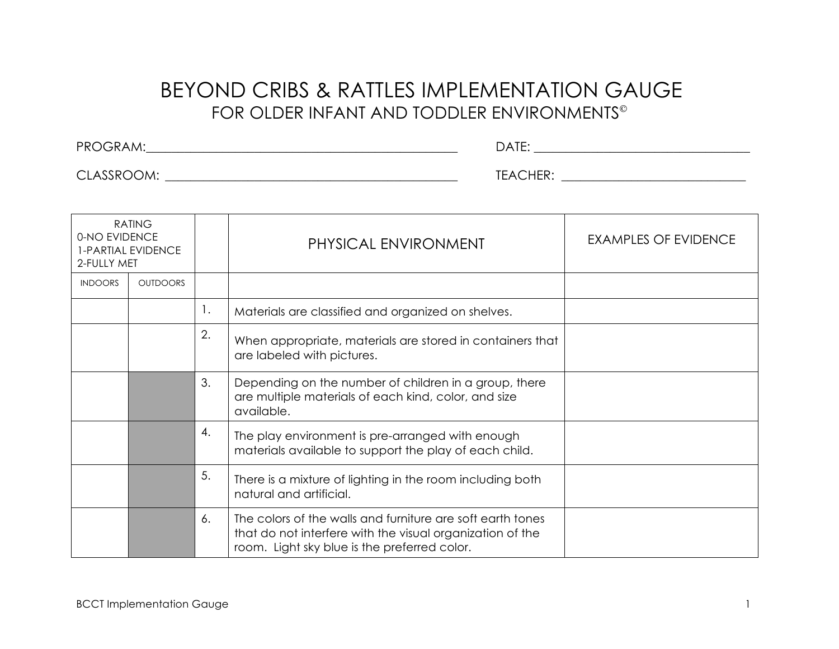## BEYOND CRIBS & RATTLES IMPLEMENTATION GAUGE FOR OLDER INFANT AND TODDLER ENVIRONMENTS

PROGRAM:\_\_\_\_\_\_\_\_\_\_\_\_\_\_\_\_\_\_\_\_\_\_\_\_\_\_\_\_\_\_\_\_\_\_\_\_\_\_\_\_\_\_\_\_\_\_\_\_\_ DATE: \_\_\_\_\_\_\_\_\_\_\_\_\_\_\_\_\_\_\_\_\_\_\_\_\_\_\_\_\_\_\_\_\_\_

CLASSROOM: \_\_\_\_\_\_\_\_\_\_\_\_\_\_\_\_\_\_\_\_\_\_\_\_\_\_\_\_\_\_\_\_\_\_\_\_\_\_\_\_\_\_\_\_\_\_ TEACHER: \_\_\_\_\_\_\_\_\_\_\_\_\_\_\_\_\_\_\_\_\_\_\_\_\_\_\_\_\_

| <b>RATING</b><br>0-NO EVIDENCE<br>1-PARTIAL EVIDENCE<br>2-FULLY MET |                 |    | PHYSICAL ENVIRONMENT                                                                                                                                                    | <b>EXAMPLES OF EVIDENCE</b> |
|---------------------------------------------------------------------|-----------------|----|-------------------------------------------------------------------------------------------------------------------------------------------------------------------------|-----------------------------|
| <b>INDOORS</b>                                                      | <b>OUTDOORS</b> |    |                                                                                                                                                                         |                             |
|                                                                     |                 | 1. | Materials are classified and organized on shelves.                                                                                                                      |                             |
|                                                                     |                 | 2. | When appropriate, materials are stored in containers that<br>are labeled with pictures.                                                                                 |                             |
|                                                                     |                 | 3. | Depending on the number of children in a group, there<br>are multiple materials of each kind, color, and size<br>available.                                             |                             |
|                                                                     |                 | 4. | The play environment is pre-arranged with enough<br>materials available to support the play of each child.                                                              |                             |
|                                                                     |                 | 5. | There is a mixture of lighting in the room including both<br>natural and artificial.                                                                                    |                             |
|                                                                     |                 | 6. | The colors of the walls and furniture are soft earth tones<br>that do not interfere with the visual organization of the<br>room. Light sky blue is the preferred color. |                             |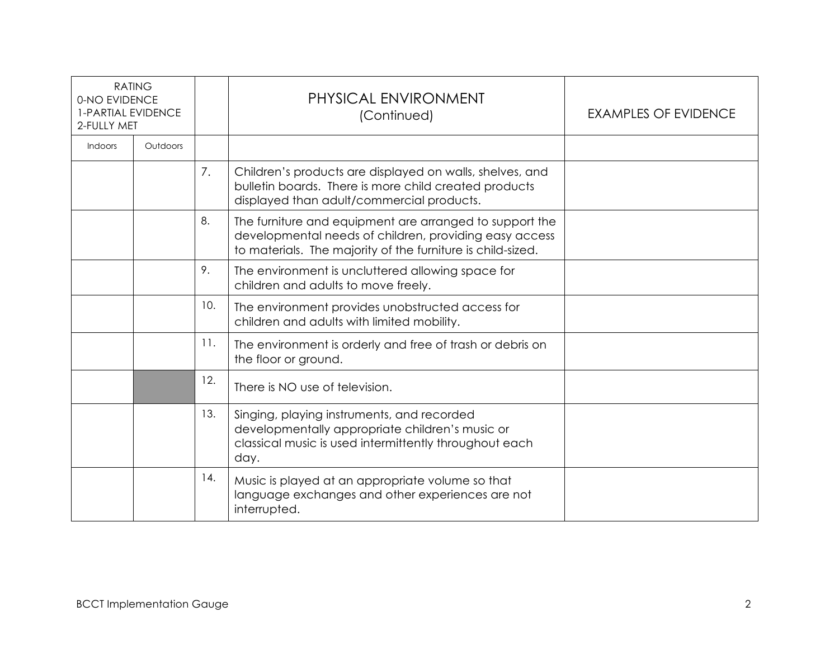| <b>RATING</b><br>0-NO EVIDENCE<br><b>1-PARTIAL EVIDENCE</b><br>2-FULLY MET |          |     | PHYSICAL ENVIRONMENT<br>(Continued)                                                                                                                                              | <b>EXAMPLES OF EVIDENCE</b> |
|----------------------------------------------------------------------------|----------|-----|----------------------------------------------------------------------------------------------------------------------------------------------------------------------------------|-----------------------------|
| <b>Indoors</b>                                                             | Outdoors |     |                                                                                                                                                                                  |                             |
|                                                                            |          | 7.  | Children's products are displayed on walls, shelves, and<br>bulletin boards. There is more child created products<br>displayed than adult/commercial products.                   |                             |
|                                                                            |          | 8.  | The furniture and equipment are arranged to support the<br>developmental needs of children, providing easy access<br>to materials. The majority of the furniture is child-sized. |                             |
|                                                                            |          | 9.  | The environment is uncluttered allowing space for<br>children and adults to move freely.                                                                                         |                             |
|                                                                            |          | 10. | The environment provides unobstructed access for<br>children and adults with limited mobility.                                                                                   |                             |
|                                                                            |          | 11. | The environment is orderly and free of trash or debris on<br>the floor or ground.                                                                                                |                             |
|                                                                            |          | 12. | There is NO use of television.                                                                                                                                                   |                             |
|                                                                            |          | 13. | Singing, playing instruments, and recorded<br>developmentally appropriate children's music or<br>classical music is used intermittently throughout each<br>day.                  |                             |
|                                                                            |          | 14. | Music is played at an appropriate volume so that<br>language exchanges and other experiences are not<br>interrupted.                                                             |                             |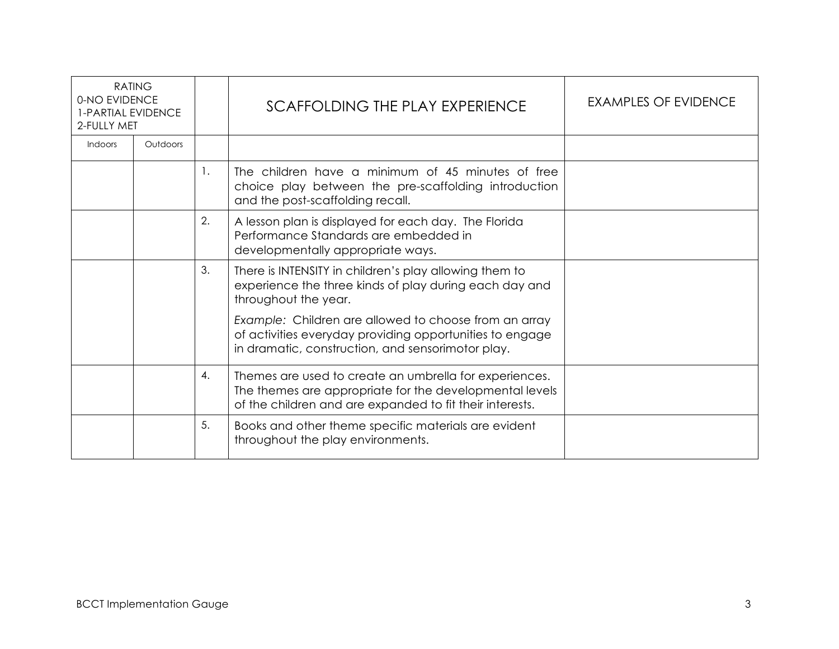| <b>RATING</b><br>0-NO EVIDENCE<br><b>1-PARTIAL EVIDENCE</b><br>2-FULLY MET |          |    | SCAFFOLDING THE PLAY EXPERIENCE                                                                                                                                               | <b>EXAMPLES OF EVIDENCE</b> |
|----------------------------------------------------------------------------|----------|----|-------------------------------------------------------------------------------------------------------------------------------------------------------------------------------|-----------------------------|
| <b>Indoors</b>                                                             | Outdoors |    |                                                                                                                                                                               |                             |
|                                                                            |          | 1. | The children have a minimum of 45 minutes of free<br>choice play between the pre-scaffolding introduction<br>and the post-scaffolding recall.                                 |                             |
|                                                                            |          | 2. | A lesson plan is displayed for each day. The Florida<br>Performance Standards are embedded in<br>developmentally appropriate ways.                                            |                             |
|                                                                            |          | 3. | There is INTENSITY in children's play allowing them to<br>experience the three kinds of play during each day and<br>throughout the year.                                      |                             |
|                                                                            |          |    | Example: Children are allowed to choose from an array<br>of activities everyday providing opportunities to engage<br>in dramatic, construction, and sensorimotor play.        |                             |
|                                                                            |          | 4. | Themes are used to create an umbrella for experiences.<br>The themes are appropriate for the developmental levels<br>of the children and are expanded to fit their interests. |                             |
|                                                                            |          | 5. | Books and other theme specific materials are evident<br>throughout the play environments.                                                                                     |                             |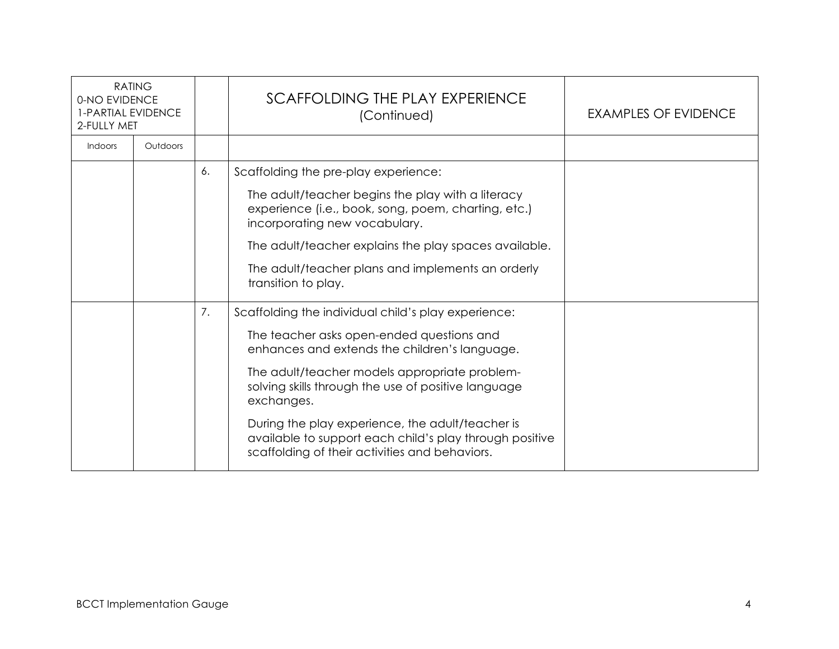| <b>RATING</b><br>0-NO EVIDENCE<br><b>1-PARTIAL EVIDENCE</b><br>2-FULLY MET |          |    | SCAFFOLDING THE PLAY EXPERIENCE<br>(Continued)                                                                                                                                                                                                                                                                                                                                                                                           | EXAMPLES OF EVIDENCE |
|----------------------------------------------------------------------------|----------|----|------------------------------------------------------------------------------------------------------------------------------------------------------------------------------------------------------------------------------------------------------------------------------------------------------------------------------------------------------------------------------------------------------------------------------------------|----------------------|
| Indoors                                                                    | Outdoors |    |                                                                                                                                                                                                                                                                                                                                                                                                                                          |                      |
|                                                                            |          | 6. | Scaffolding the pre-play experience:<br>The adult/teacher begins the play with a literacy<br>experience (i.e., book, song, poem, charting, etc.)<br>incorporating new vocabulary.<br>The adult/teacher explains the play spaces available.<br>The adult/teacher plans and implements an orderly<br>transition to play.                                                                                                                   |                      |
|                                                                            |          | 7. | Scaffolding the individual child's play experience:<br>The teacher asks open-ended questions and<br>enhances and extends the children's language.<br>The adult/teacher models appropriate problem-<br>solving skills through the use of positive language<br>exchanges.<br>During the play experience, the adult/teacher is<br>available to support each child's play through positive<br>scaffolding of their activities and behaviors. |                      |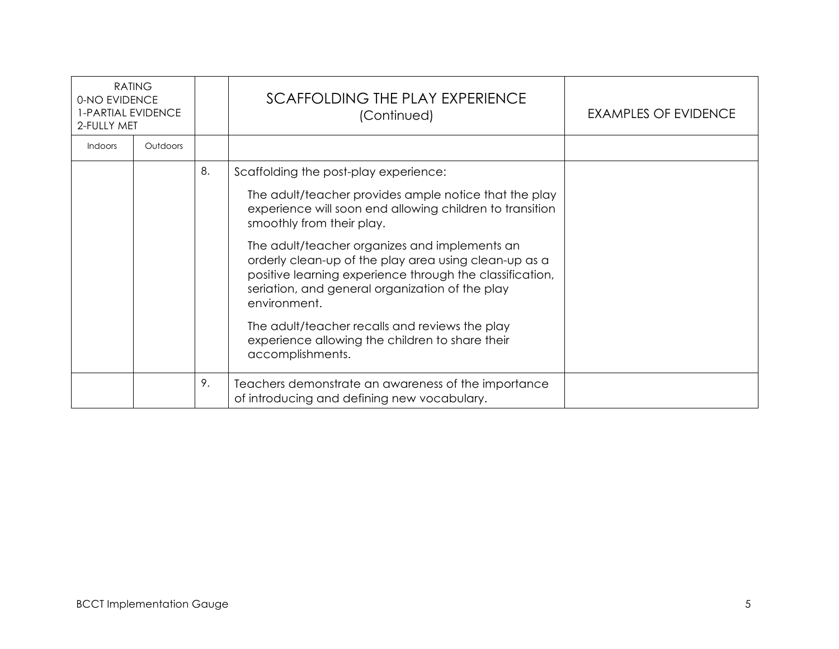| <b>RATING</b><br>0-NO EVIDENCE<br>1-PARTIAL EVIDENCE<br>2-FULLY MET |          |    | SCAFFOLDING THE PLAY EXPERIENCE<br>(Continued)                                                                                                                                                                                        | <b>EXAMPLES OF EVIDENCE</b> |
|---------------------------------------------------------------------|----------|----|---------------------------------------------------------------------------------------------------------------------------------------------------------------------------------------------------------------------------------------|-----------------------------|
| <b>Indoors</b>                                                      | Outdoors |    |                                                                                                                                                                                                                                       |                             |
|                                                                     |          | 8. | Scaffolding the post-play experience:                                                                                                                                                                                                 |                             |
|                                                                     |          |    | The adult/teacher provides ample notice that the play<br>experience will soon end allowing children to transition<br>smoothly from their play.                                                                                        |                             |
|                                                                     |          |    | The adult/teacher organizes and implements an<br>orderly clean-up of the play area using clean-up as a<br>positive learning experience through the classification,<br>seriation, and general organization of the play<br>environment. |                             |
|                                                                     |          |    | The adult/teacher recalls and reviews the play<br>experience allowing the children to share their<br>accomplishments.                                                                                                                 |                             |
|                                                                     |          | 9. | Teachers demonstrate an awareness of the importance<br>of introducing and defining new vocabulary.                                                                                                                                    |                             |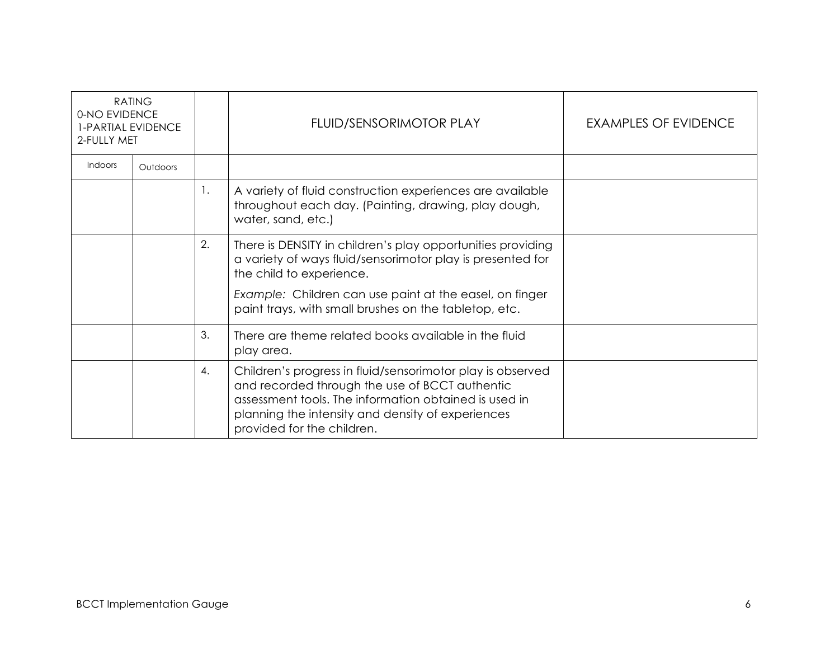| <b>RATING</b><br>0-NO EVIDENCE<br>1-PARTIAL EVIDENCE<br>2-FULLY MET |          |    | FLUID/SENSORIMOTOR PLAY                                                                                                                                                                                                                                                   | EXAMPLES OF EVIDENCE |
|---------------------------------------------------------------------|----------|----|---------------------------------------------------------------------------------------------------------------------------------------------------------------------------------------------------------------------------------------------------------------------------|----------------------|
| Indoors                                                             | Outdoors |    |                                                                                                                                                                                                                                                                           |                      |
|                                                                     |          | 1. | A variety of fluid construction experiences are available<br>throughout each day. (Painting, drawing, play dough,<br>water, sand, etc.)                                                                                                                                   |                      |
|                                                                     |          | 2. | There is DENSITY in children's play opportunities providing<br>a variety of ways fluid/sensorimotor play is presented for<br>the child to experience.<br>Example: Children can use paint at the easel, on finger<br>paint trays, with small brushes on the tabletop, etc. |                      |
|                                                                     |          | 3. | There are theme related books available in the fluid<br>play area.                                                                                                                                                                                                        |                      |
|                                                                     |          | 4. | Children's progress in fluid/sensorimotor play is observed<br>and recorded through the use of BCCT authentic<br>assessment tools. The information obtained is used in<br>planning the intensity and density of experiences<br>provided for the children.                  |                      |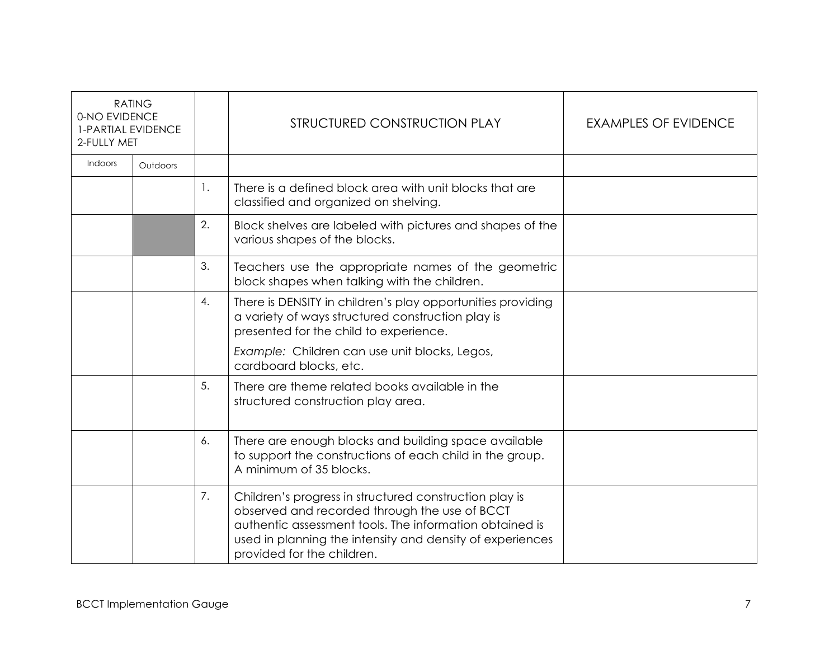| <b>RATING</b><br>0-NO EVIDENCE<br>1-PARTIAL EVIDENCE<br>2-FULLY MET |          |    | STRUCTURED CONSTRUCTION PLAY                                                                                                                                                                                                                                  | <b>EXAMPLES OF EVIDENCE</b> |
|---------------------------------------------------------------------|----------|----|---------------------------------------------------------------------------------------------------------------------------------------------------------------------------------------------------------------------------------------------------------------|-----------------------------|
| Indoors                                                             | Outdoors |    |                                                                                                                                                                                                                                                               |                             |
|                                                                     |          | 1. | There is a defined block area with unit blocks that are<br>classified and organized on shelving.                                                                                                                                                              |                             |
|                                                                     |          | 2. | Block shelves are labeled with pictures and shapes of the<br>various shapes of the blocks.                                                                                                                                                                    |                             |
|                                                                     |          | 3. | Teachers use the appropriate names of the geometric<br>block shapes when talking with the children.                                                                                                                                                           |                             |
|                                                                     |          | 4. | There is DENSITY in children's play opportunities providing<br>a variety of ways structured construction play is<br>presented for the child to experience.                                                                                                    |                             |
|                                                                     |          |    | Example: Children can use unit blocks, Legos,<br>cardboard blocks, etc.                                                                                                                                                                                       |                             |
|                                                                     |          | 5. | There are theme related books available in the<br>structured construction play area.                                                                                                                                                                          |                             |
|                                                                     |          | 6. | There are enough blocks and building space available<br>to support the constructions of each child in the group.<br>A minimum of 35 blocks.                                                                                                                   |                             |
|                                                                     |          | 7. | Children's progress in structured construction play is<br>observed and recorded through the use of BCCT<br>authentic assessment tools. The information obtained is<br>used in planning the intensity and density of experiences<br>provided for the children. |                             |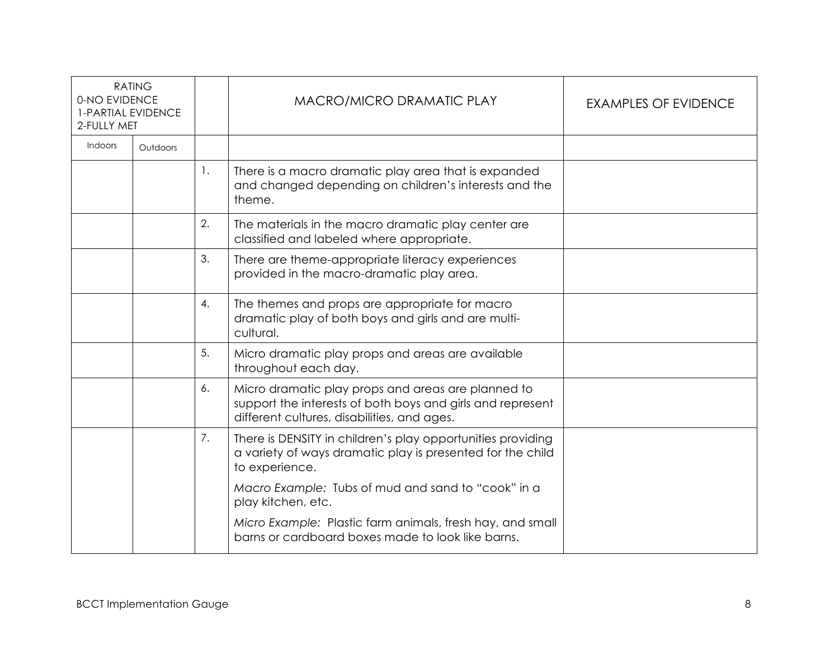| <b>RATING</b><br>0-NO EVIDENCE<br><b>1-PARTIAL EVIDENCE</b><br>2-FULLY MET |          |                | MACRO/MICRO DRAMATIC PLAY                                                                                                                                       | <b>EXAMPLES OF EVIDENCE</b> |
|----------------------------------------------------------------------------|----------|----------------|-----------------------------------------------------------------------------------------------------------------------------------------------------------------|-----------------------------|
| Indoors                                                                    | Outdoors |                |                                                                                                                                                                 |                             |
|                                                                            |          | $\mathbf{1}$ . | There is a macro dramatic play area that is expanded<br>and changed depending on children's interests and the<br>theme.                                         |                             |
|                                                                            |          | 2.             | The materials in the macro dramatic play center are<br>classified and labeled where appropriate.                                                                |                             |
|                                                                            |          | 3.             | There are theme-appropriate literacy experiences<br>provided in the macro-dramatic play area.                                                                   |                             |
|                                                                            |          | 4.             | The themes and props are appropriate for macro<br>dramatic play of both boys and girls and are multi-<br>cultural.                                              |                             |
|                                                                            |          | 5.             | Micro dramatic play props and areas are available<br>throughout each day.                                                                                       |                             |
|                                                                            |          | 6.             | Micro dramatic play props and areas are planned to<br>support the interests of both boys and girls and represent<br>different cultures, disabilities, and ages. |                             |
|                                                                            |          | 7.             | There is DENSITY in children's play opportunities providing<br>a variety of ways dramatic play is presented for the child<br>to experience.                     |                             |
|                                                                            |          |                | Macro Example: Tubs of mud and sand to "cook" in a<br>play kitchen, etc.                                                                                        |                             |
|                                                                            |          |                | Micro Example: Plastic farm animals, fresh hay, and small<br>barns or cardboard boxes made to look like barns.                                                  |                             |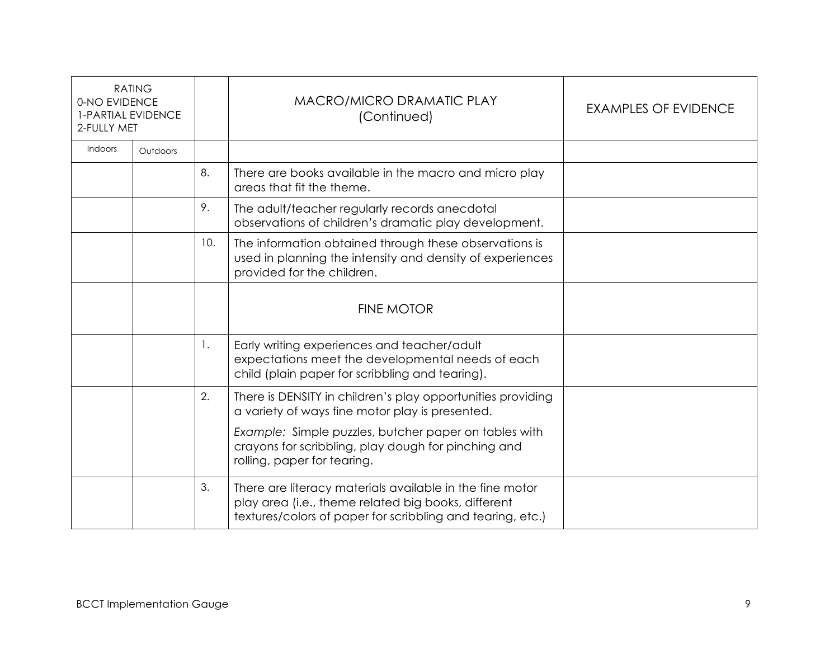| <b>RATING</b><br>0-NO EVIDENCE<br><b>1-PARTIAL EVIDENCE</b><br>2-FULLY MET |          |     | MACRO/MICRO DRAMATIC PLAY<br>(Continued)                                                                                                                                      | <b>EXAMPLES OF EVIDENCE</b> |
|----------------------------------------------------------------------------|----------|-----|-------------------------------------------------------------------------------------------------------------------------------------------------------------------------------|-----------------------------|
| Indoors                                                                    | Outdoors |     |                                                                                                                                                                               |                             |
|                                                                            |          | 8.  | There are books available in the macro and micro play<br>areas that fit the theme.                                                                                            |                             |
|                                                                            |          | 9.  | The adult/teacher regularly records anecdotal<br>observations of children's dramatic play development.                                                                        |                             |
|                                                                            |          | 10. | The information obtained through these observations is<br>used in planning the intensity and density of experiences<br>provided for the children.                             |                             |
|                                                                            |          |     | <b>FINE MOTOR</b>                                                                                                                                                             |                             |
|                                                                            |          | 1.  | Early writing experiences and teacher/adult<br>expectations meet the developmental needs of each<br>child (plain paper for scribbling and tearing).                           |                             |
|                                                                            |          | 2.  | There is DENSITY in children's play opportunities providing<br>a variety of ways fine motor play is presented.                                                                |                             |
|                                                                            |          |     | Example: Simple puzzles, butcher paper on tables with<br>crayons for scribbling, play dough for pinching and<br>rolling, paper for tearing.                                   |                             |
|                                                                            |          | 3.  | There are literacy materials available in the fine motor<br>play area (i.e., theme related big books, different<br>textures/colors of paper for scribbling and tearing, etc.) |                             |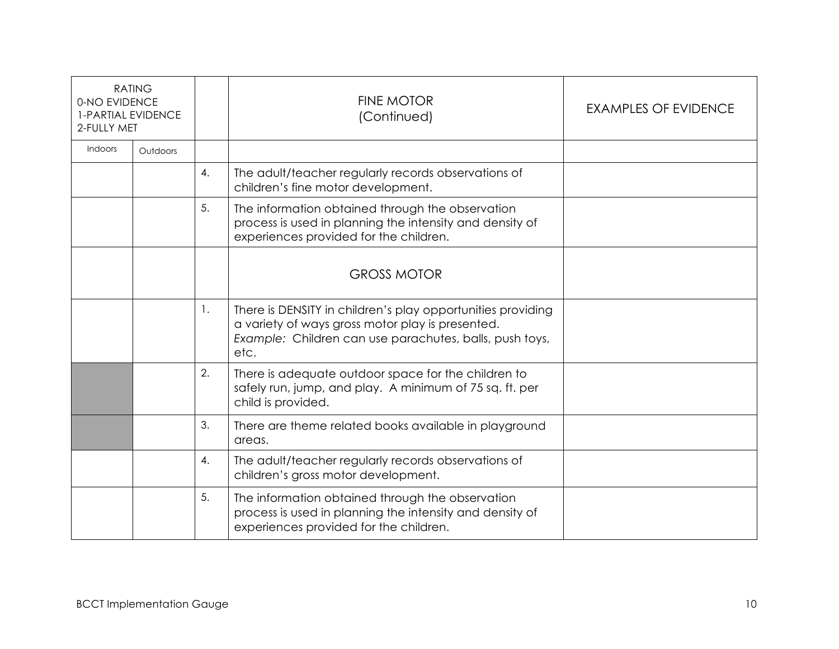| <b>RATING</b><br>0-NO EVIDENCE<br><b>1-PARTIAL EVIDENCE</b><br>2-FULLY MET |          |                | <b>FINE MOTOR</b><br>(Continued)                                                                                                                                                   | <b>EXAMPLES OF EVIDENCE</b> |
|----------------------------------------------------------------------------|----------|----------------|------------------------------------------------------------------------------------------------------------------------------------------------------------------------------------|-----------------------------|
| Indoors                                                                    | Outdoors |                |                                                                                                                                                                                    |                             |
|                                                                            |          | $\mathbf{A}$ . | The adult/teacher regularly records observations of<br>children's fine motor development.                                                                                          |                             |
|                                                                            |          | 5.             | The information obtained through the observation<br>process is used in planning the intensity and density of<br>experiences provided for the children.                             |                             |
|                                                                            |          |                | <b>GROSS MOTOR</b>                                                                                                                                                                 |                             |
|                                                                            |          | -1.            | There is DENSITY in children's play opportunities providing<br>a variety of ways gross motor play is presented.<br>Example: Children can use parachutes, balls, push toys,<br>etc. |                             |
|                                                                            |          | 2.             | There is adequate outdoor space for the children to<br>safely run, jump, and play. A minimum of 75 sq. ft. per<br>child is provided.                                               |                             |
|                                                                            |          | 3.             | There are theme related books available in playground<br>areas.                                                                                                                    |                             |
|                                                                            |          | 4.             | The adult/teacher regularly records observations of<br>children's gross motor development.                                                                                         |                             |
|                                                                            |          | 5.             | The information obtained through the observation<br>process is used in planning the intensity and density of<br>experiences provided for the children.                             |                             |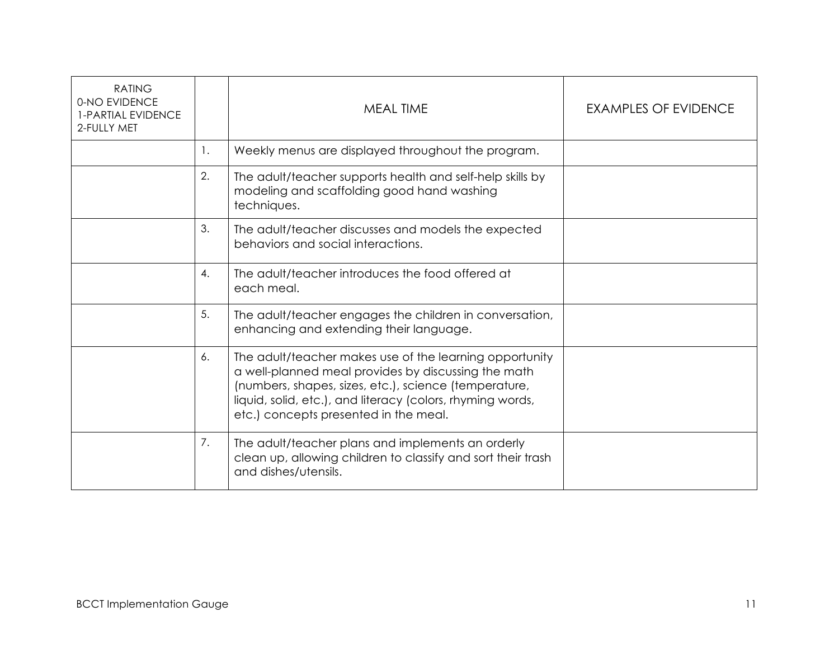| <b>RATING</b><br>0-NO EVIDENCE<br><b>1-PARTIAL EVIDENCE</b><br>2-FULLY MET |    | <b>MEAL TIME</b>                                                                                                                                                                                                                                                               | <b>EXAMPLES OF EVIDENCE</b> |
|----------------------------------------------------------------------------|----|--------------------------------------------------------------------------------------------------------------------------------------------------------------------------------------------------------------------------------------------------------------------------------|-----------------------------|
|                                                                            | 1. | Weekly menus are displayed throughout the program.                                                                                                                                                                                                                             |                             |
|                                                                            | 2. | The adult/teacher supports health and self-help skills by<br>modeling and scaffolding good hand washing<br>techniques.                                                                                                                                                         |                             |
|                                                                            | 3. | The adult/teacher discusses and models the expected<br>behaviors and social interactions.                                                                                                                                                                                      |                             |
|                                                                            | 4. | The adult/teacher introduces the food offered at<br>each meal.                                                                                                                                                                                                                 |                             |
|                                                                            | 5. | The adult/teacher engages the children in conversation,<br>enhancing and extending their language.                                                                                                                                                                             |                             |
|                                                                            | 6. | The adult/teacher makes use of the learning opportunity<br>a well-planned meal provides by discussing the math<br>(numbers, shapes, sizes, etc.), science (temperature,<br>liquid, solid, etc.), and literacy (colors, rhyming words,<br>etc.) concepts presented in the meal. |                             |
|                                                                            | 7. | The adult/teacher plans and implements an orderly<br>clean up, allowing children to classify and sort their trash<br>and dishes/utensils.                                                                                                                                      |                             |